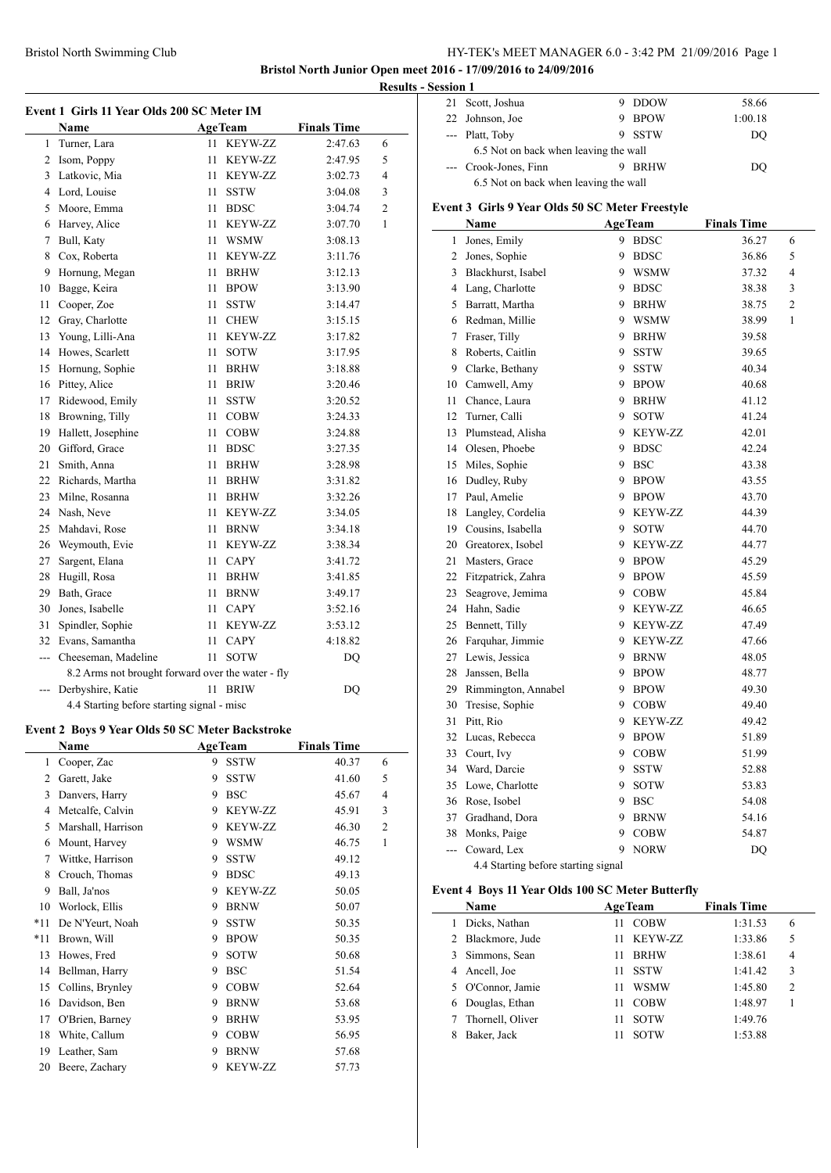## Bristol North Swimming Club HY-TEK's MEET MANAGER 6.0 - 3:42 PM 21/09/2016 Page 1

**Bristol North Junior Open meet 2016 - 17/09/2016 to 24/09/2016**

|     | Event 1 Girls 11 Year Olds 200 SC Meter IM        |                |                |                    |                |
|-----|---------------------------------------------------|----------------|----------------|--------------------|----------------|
|     | <b>Name</b>                                       | <b>AgeTeam</b> |                | <b>Finals Time</b> |                |
| 1   | Turner, Lara                                      | 11             | KEYW-ZZ        | 2:47.63            | 6              |
| 2   | Isom, Poppy                                       | 11             | KEYW-ZZ        | 2:47.95            | 5              |
| 3   | Latkovic, Mia                                     | 11             | <b>KEYW-ZZ</b> | 3:02.73            | 4              |
| 4   | Lord, Louise                                      | 11             | <b>SSTW</b>    | 3:04.08            | 3              |
| 5   | Moore, Emma                                       | 11             | <b>BDSC</b>    | 3:04.74            | $\overline{c}$ |
| 6   | Harvey, Alice                                     | 11             | KEYW-ZZ        | 3:07.70            | 1              |
| 7   | Bull, Katy                                        | 11             | <b>WSMW</b>    | 3:08.13            |                |
| 8   | Cox, Roberta                                      | 11             | <b>KEYW-ZZ</b> | 3:11.76            |                |
| 9   | Hornung, Megan                                    | 11             | <b>BRHW</b>    | 3:12.13            |                |
| 10  | Bagge, Keira                                      | 11             | <b>BPOW</b>    | 3:13.90            |                |
| 11  | Cooper, Zoe                                       | 11             | SSTW           | 3:14.47            |                |
| 12  | Gray, Charlotte                                   | 11             | <b>CHEW</b>    | 3:15.15            |                |
| 13  | Young, Lilli-Ana                                  | 11             | <b>KEYW-ZZ</b> | 3:17.82            |                |
| 14  | Howes, Scarlett                                   | 11             | <b>SOTW</b>    | 3:17.95            |                |
| 15  | Hornung, Sophie                                   | 11             | <b>BRHW</b>    | 3:18.88            |                |
| 16  | Pittey, Alice                                     | 11             | <b>BRIW</b>    | 3:20.46            |                |
| 17  | Ridewood, Emily                                   | 11             | SSTW           | 3:20.52            |                |
| 18  | Browning, Tilly                                   | 11             | <b>COBW</b>    | 3:24.33            |                |
| 19  | Hallett, Josephine                                | 11             | <b>COBW</b>    | 3:24.88            |                |
| 20  | Gifford, Grace                                    | 11             | <b>BDSC</b>    | 3:27.35            |                |
| 21  | Smith, Anna                                       | 11             | <b>BRHW</b>    | 3:28.98            |                |
| 22  | Richards, Martha                                  | 11             | <b>BRHW</b>    | 3:31.82            |                |
| 23  | Milne, Rosanna                                    | 11             | <b>BRHW</b>    | 3:32.26            |                |
| 24  | Nash, Neve                                        | 11             | KEYW-ZZ        | 3:34.05            |                |
| 25  | Mahdavi, Rose                                     | 11             | <b>BRNW</b>    | 3:34.18            |                |
| 26  | Weymouth, Evie                                    | 11             | KEYW-ZZ        | 3:38.34            |                |
| 27  | Sargent, Elana                                    | 11             | <b>CAPY</b>    | 3:41.72            |                |
| 28  | Hugill, Rosa                                      | 11             | <b>BRHW</b>    | 3:41.85            |                |
| 29  | Bath, Grace                                       | 11             | <b>BRNW</b>    | 3:49.17            |                |
| 30  | Jones, Isabelle                                   | 11             | <b>CAPY</b>    | 3:52.16            |                |
| 31  | Spindler, Sophie                                  | 11             | <b>KEYW-ZZ</b> | 3:53.12            |                |
|     | 32 Evans, Samantha                                | 11             | <b>CAPY</b>    | 4:18.82            |                |
|     | --- Cheeseman, Madeline                           | 11             | <b>SOTW</b>    | <b>DQ</b>          |                |
|     | 8.2 Arms not brought forward over the water - fly |                |                |                    |                |
| --- | Derbyshire, Katie                                 | 11             | <b>BRIW</b>    | DQ                 |                |
|     | 4.4 Starting before starting signal - misc        |                |                |                    |                |

## **Event 2 Boys 9 Year Olds 50 SC Meter Backstroke**

|                    |   | <b>AgeTeam</b> | <b>Finals Time</b> |                |  |
|--------------------|---|----------------|--------------------|----------------|--|
| Cooper, Zac        | 9 | <b>SSTW</b>    | 40.37              | 6              |  |
| Garett, Jake       | 9 | <b>SSTW</b>    | 41.60              | 5              |  |
| Danvers, Harry     | 9 | <b>BSC</b>     | 45.67              | $\overline{4}$ |  |
| Metcalfe, Calvin   | 9 | <b>KEYW-ZZ</b> | 45.91              | 3              |  |
| Marshall, Harrison | 9 | <b>KEYW-ZZ</b> | 46.30              | $\overline{c}$ |  |
| Mount, Harvey      | 9 | <b>WSMW</b>    | 46.75              | 1              |  |
| Wittke, Harrison   | 9 | <b>SSTW</b>    | 49.12              |                |  |
| Crouch, Thomas     | 9 | <b>BDSC</b>    | 49.13              |                |  |
| Ball, Ja'nos       | 9 | <b>KEYW-ZZ</b> | 50.05              |                |  |
| Worlock, Ellis     | 9 | <b>BRNW</b>    | 50.07              |                |  |
| De N'Yeurt, Noah   | 9 | <b>SSTW</b>    | 50.35              |                |  |
| Brown, Will        | 9 | <b>BPOW</b>    | 50.35              |                |  |
| Howes, Fred        | 9 | <b>SOTW</b>    | 50.68              |                |  |
| Bellman, Harry     | 9 | <b>BSC</b>     | 51.54              |                |  |
| Collins, Brynley   | 9 | <b>COBW</b>    | 52.64              |                |  |
| Davidson, Ben      | 9 | <b>BRNW</b>    | 53.68              |                |  |
| O'Brien, Barney    | 9 | <b>BRHW</b>    | 53.95              |                |  |
| White, Callum      | 9 | <b>COBW</b>    | 56.95              |                |  |
| Leather, Sam       | 9 | <b>BRNW</b>    | 57.68              |                |  |
| Beere, Zachary     | 9 | <b>KEYW-ZZ</b> | 57.73              |                |  |
|                    |   |                |                    |                |  |

|                | Results - Session 1 |                                       |             |         |  |
|----------------|---------------------|---------------------------------------|-------------|---------|--|
|                | 21                  | Scott, Joshua                         | DDOW        | 58.66   |  |
|                |                     | 22 Johnson, Joe                       | BPOW        | 1:00.18 |  |
|                |                     | --- Platt, Toby                       | 9 SSTW      | DO      |  |
| 6              |                     | 6.5 Not on back when leaving the wall |             |         |  |
| 5              |                     | --- Crook-Jones, Finn                 | <b>BRHW</b> | DO      |  |
| $\overline{4}$ |                     | 6.5 Not on back when leaving the wall |             |         |  |

#### **Event 3 Girls 9 Year Olds 50 SC Meter Freestyle**

| Name           |                                     |    | <b>AgeTeam</b> | <b>Finals Time</b> |                |
|----------------|-------------------------------------|----|----------------|--------------------|----------------|
| 1              | Jones, Emily                        | 9  | <b>BDSC</b>    | 36.27              | 6              |
| $\overline{c}$ | Jones, Sophie                       |    | 9 BDSC         | 36.86              | 5              |
|                | 3 Blackhurst, Isabel                |    | 9 WSMW         | 37.32              | $\overline{4}$ |
| $\overline{4}$ | Lang, Charlotte                     |    | 9 BDSC         | 38.38              | 3              |
|                | 5 Barratt, Martha                   |    | 9 BRHW         | 38.75              | $\overline{c}$ |
|                | 6 Redman, Millie                    |    | 9 WSMW         | 38.99              | 1              |
|                | 7 Fraser, Tilly                     |    | 9 BRHW         | 39.58              |                |
| 8              | Roberts, Caitlin                    | 9  | <b>SSTW</b>    | 39.65              |                |
| 9              | Clarke, Bethany                     | 9  | <b>SSTW</b>    | 40.34              |                |
|                | 10 Camwell, Amy                     | 9  | <b>BPOW</b>    | 40.68              |                |
|                | 11 Chance, Laura                    | 9  | <b>BRHW</b>    | 41.12              |                |
| 12             | Turner, Calli                       | 9. | <b>SOTW</b>    | 41.24              |                |
| 13             | Plumstead, Alisha                   |    | 9 KEYW-ZZ      | 42.01              |                |
|                | 14 Olesen, Phoebe                   |    | 9 BDSC         | 42.24              |                |
| 15             | Miles, Sophie                       |    | 9 BSC          | 43.38              |                |
| 16             | Dudley, Ruby                        |    | 9 BPOW         | 43.55              |                |
| 17             | Paul, Amelie                        |    | 9 BPOW         | 43.70              |                |
| 18             | Langley, Cordelia                   |    | 9 KEYW-ZZ      | 44.39              |                |
|                | 19 Cousins, Isabella                |    | 9 SOTW         | 44.70              |                |
|                | 20 Greatorex, Isobel                |    | 9 KEYW-ZZ      | 44.77              |                |
| 21             | Masters, Grace                      |    | 9 BPOW         | 45.29              |                |
|                | 22 Fitzpatrick, Zahra               |    | 9 BPOW         | 45.59              |                |
| 23             | Seagrove, Jemima                    |    | 9 COBW         | 45.84              |                |
|                | 24 Hahn, Sadie                      |    | 9 KEYW-ZZ      | 46.65              |                |
| 25             | Bennett, Tilly                      |    | 9 KEYW-ZZ      | 47.49              |                |
| 26             | Farquhar, Jimmie                    |    | 9 KEYW-ZZ      | 47.66              |                |
|                | 27 Lewis, Jessica                   |    | 9 BRNW         | 48.05              |                |
| 28             | Janssen, Bella                      |    | 9 BPOW         | 48.77              |                |
|                | 29 Rimmington, Annabel              |    | 9 BPOW         | 49.30              |                |
| 30             | Tresise, Sophie                     |    | 9 COBW         | 49.40              |                |
| 31             | Pitt, Rio                           |    | 9 KEYW-ZZ      | 49.42              |                |
| 32             | Lucas, Rebecca                      | 9  | <b>BPOW</b>    | 51.89              |                |
| 33             | Court, Ivy                          |    | 9 COBW         | 51.99              |                |
|                | 34 Ward, Darcie                     | 9  | <b>SSTW</b>    | 52.88              |                |
|                | 35 Lowe, Charlotte                  | 9. | <b>SOTW</b>    | 53.83              |                |
|                | 36 Rose, Isobel                     |    | 9 BSC          | 54.08              |                |
| 37             | Gradhand, Dora                      | 9  | <b>BRNW</b>    | 54.16              |                |
| 38             | Monks, Paige                        | 9  | <b>COBW</b>    | 54.87              |                |
| $\overline{a}$ | Coward, Lex                         | 9  | <b>NORW</b>    | DQ                 |                |
|                | 4.4 Starting before starting signal |    |                |                    |                |

#### **Event 4 Boys 11 Year Olds 100 SC Meter Butterfly**

| <b>Name</b>       |    | <b>AgeTeam</b> | <b>Finals Time</b> |                |
|-------------------|----|----------------|--------------------|----------------|
| Dicks, Nathan     | 11 | <b>COBW</b>    | 1:31.53            | 6              |
| 2 Blackmore, Jude | 11 | KEYW-ZZ        | 1:33.86            | 5              |
| 3 Simmons, Sean   | 11 | <b>BRHW</b>    | 1:38.61            | $\overline{4}$ |
| 4 Ancell, Joe     | 11 | <b>SSTW</b>    | 1:41.42            | 3              |
| 5 O'Connor, Jamie | 11 | WSMW           | 1:45.80            | $\overline{2}$ |
| 6 Douglas, Ethan  | 11 | <b>COBW</b>    | 1:48.97            |                |
| Thornell, Oliver  | 11 | <b>SOTW</b>    | 1:49.76            |                |
| Baker, Jack       | 11 | <b>SOTW</b>    | 1:53.88            |                |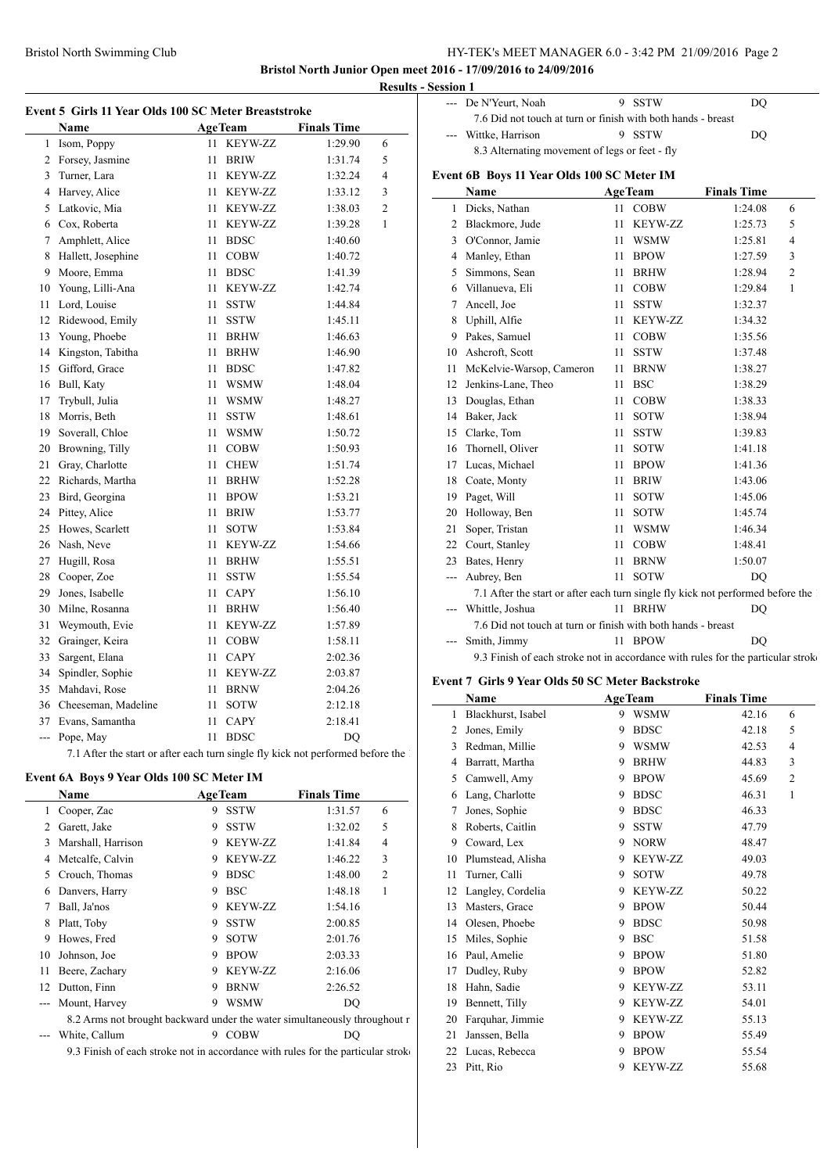## Bristol North Swimming Club HY-TEK's MEET MANAGER 6.0 - 3:42 PM 21/09/2016 Page 2

**Bristol North Junior Open meet 2016 - 17/09/2016 to 24/09/2016 Results - Session 1**

|                | Name                |    | <b>AgeTeam</b> | <b>Finals Time</b> |                |
|----------------|---------------------|----|----------------|--------------------|----------------|
| 1              | Isom, Poppy         | 11 | <b>KEYW-ZZ</b> | 1:29.90            | 6              |
| $\overline{c}$ | Forsey, Jasmine     | 11 | <b>BRIW</b>    | 1:31.74            | 5              |
| 3              | Turner, Lara        | 11 | <b>KEYW-ZZ</b> | 1:32.24            | $\overline{4}$ |
| 4              | Harvey, Alice       | 11 | KEYW-ZZ        | 1:33.12            | 3              |
| 5              | Latkovic, Mia       | 11 | KEYW-ZZ        | 1:38.03            | 2              |
| 6              | Cox, Roberta        | 11 | <b>KEYW-ZZ</b> | 1:39.28            | 1              |
| 7              | Amphlett, Alice     | 11 | <b>BDSC</b>    | 1:40.60            |                |
| 8              | Hallett, Josephine  | 11 | <b>COBW</b>    | 1:40.72            |                |
| 9              | Moore, Emma         | 11 | <b>BDSC</b>    | 1:41.39            |                |
| 10             | Young, Lilli-Ana    | 11 | <b>KEYW-ZZ</b> | 1:42.74            |                |
| 11             | Lord, Louise        | 11 | <b>SSTW</b>    | 1:44.84            |                |
| 12             | Ridewood, Emily     | 11 | <b>SSTW</b>    | 1:45.11            |                |
| 13             | Young, Phoebe       | 11 | <b>BRHW</b>    | 1:46.63            |                |
| 14             | Kingston, Tabitha   | 11 | <b>BRHW</b>    | 1:46.90            |                |
| 15             | Gifford, Grace      | 11 | <b>BDSC</b>    | 1:47.82            |                |
| 16             | Bull, Katy          | 11 | <b>WSMW</b>    | 1:48.04            |                |
| 17             | Trybull, Julia      | 11 | <b>WSMW</b>    | 1:48.27            |                |
| 18             | Morris, Beth        | 11 | <b>SSTW</b>    | 1:48.61            |                |
| 19             | Soverall, Chloe     | 11 | <b>WSMW</b>    | 1:50.72            |                |
| 20             | Browning, Tilly     | 11 | <b>COBW</b>    | 1:50.93            |                |
| 21             | Gray, Charlotte     | 11 | <b>CHEW</b>    | 1:51.74            |                |
| 22             | Richards, Martha    | 11 | <b>BRHW</b>    | 1:52.28            |                |
| 23             | Bird, Georgina      | 11 | <b>BPOW</b>    | 1:53.21            |                |
| 24             | Pittey, Alice       | 11 | BRIW           | 1:53.77            |                |
| 25             | Howes, Scarlett     | 11 | <b>SOTW</b>    | 1:53.84            |                |
| 26             | Nash, Neve          | 11 | <b>KEYW-ZZ</b> | 1:54.66            |                |
| 27             | Hugill, Rosa        | 11 | <b>BRHW</b>    | 1:55.51            |                |
| 28             | Cooper, Zoe         | 11 | <b>SSTW</b>    | 1:55.54            |                |
| 29             | Jones, Isabelle     | 11 | <b>CAPY</b>    | 1:56.10            |                |
| 30             | Milne, Rosanna      | 11 | <b>BRHW</b>    | 1:56.40            |                |
| 31             | Weymouth, Evie      | 11 | <b>KEYW-ZZ</b> | 1:57.89            |                |
| 32             | Grainger, Keira     | 11 | <b>COBW</b>    | 1:58.11            |                |
| 33             | Sargent, Elana      | 11 | <b>CAPY</b>    | 2:02.36            |                |
| 34             | Spindler, Sophie    | 11 | <b>KEYW-ZZ</b> | 2:03.87            |                |
| 35             | Mahdavi, Rose       | 11 | <b>BRNW</b>    | 2:04.26            |                |
| 36             | Cheeseman, Madeline | 11 | <b>SOTW</b>    | 2:12.18            |                |
| 37             | Evans, Samantha     | 11 | <b>CAPY</b>    | 2:18.41            |                |
| $\overline{a}$ | Pope, May           | 11 | <b>BDSC</b>    | DQ                 |                |

## **Event 6A Boys 9 Year Olds 100 SC Meter IM**

|    | Name                                                                             |   | <b>AgeTeam</b> | <b>Finals Time</b> |                | 6  | Lang  |
|----|----------------------------------------------------------------------------------|---|----------------|--------------------|----------------|----|-------|
| 1  | Cooper, Zac                                                                      | 9 | <b>SSTW</b>    | 1:31.57            | 6              |    | Jone  |
| 2  | Garett, Jake                                                                     | 9 | <b>SSTW</b>    | 1:32.02            | 5              | 8  | Robe  |
| 3  | Marshall, Harrison                                                               | 9 | <b>KEYW-ZZ</b> | 1:41.84            | 4              | 9  | Cow   |
| 4  | Metcalfe, Calvin                                                                 | 9 | <b>KEYW-ZZ</b> | 1:46.22            | 3              | 10 | Plum  |
| 5  | Crouch, Thomas                                                                   | 9 | <b>BDSC</b>    | 1:48.00            | $\overline{2}$ | 11 | Turn  |
| 6  | Danvers, Harry                                                                   | 9 | <b>BSC</b>     | 1:48.18            | 1              | 12 | Lang  |
| 7  | Ball, Ja'nos                                                                     | 9 | <b>KEYW-ZZ</b> | 1:54.16            |                | 13 | Mast  |
| 8  | Platt, Toby                                                                      | 9 | <b>SSTW</b>    | 2:00.85            |                | 14 | Oles  |
| 9  | Howes, Fred                                                                      | 9 | <b>SOTW</b>    | 2:01.76            |                | 15 | Mile  |
| 10 | Johnson, Joe                                                                     | 9 | <b>BPOW</b>    | 2:03.33            |                | 16 | Paul. |
| 11 | Beere, Zachary                                                                   | 9 | <b>KEYW-ZZ</b> | 2:16.06            |                | 17 | Dudl  |
| 12 | Dutton, Finn                                                                     | 9 | <b>BRNW</b>    | 2:26.52            |                | 18 | Hahr  |
|    | Mount, Harvey                                                                    | 9 | <b>WSMW</b>    | DO                 |                | 19 | Benr  |
|    | 8.2 Arms not brought backward under the water simultaneously throughout r        |   |                |                    |                | 20 | Farq  |
|    | White, Callum                                                                    | 9 | <b>COBW</b>    | DO                 |                | 21 | Janss |
|    | 9.3 Finish of each stroke not in accordance with rules for the particular stroke |   |                |                    |                | 22 | Luca  |

| --- De N'Yeurt, Noah                                         | 9 SSTW | DO  |
|--------------------------------------------------------------|--------|-----|
| 7.6 Did not touch at turn or finish with both hands - breast |        |     |
| --- Wittke, Harrison                                         | 9 SSTW | DO. |
| 8.3 Alternating movement of legs or feet - fly               |        |     |

## **Event 6B Boys 11 Year Olds 100 SC Meter IM**

|     | Name                                                                              |    | <b>AgeTeam</b> | <b>Finals Time</b> |                |
|-----|-----------------------------------------------------------------------------------|----|----------------|--------------------|----------------|
| 1   | Dicks, Nathan                                                                     |    | 11 COBW        | 1:24.08            | 6              |
| 2   | Blackmore, Jude                                                                   | 11 | <b>KEYW-ZZ</b> | 1:25.73            | 5              |
| 3   | O'Connor, Jamie                                                                   | 11 | <b>WSMW</b>    | 1:25.81            | 4              |
| 4   | Manley, Ethan                                                                     | 11 | <b>BPOW</b>    | 1:27.59            | 3              |
| 5   | Simmons, Sean                                                                     | 11 | <b>BRHW</b>    | 1:28.94            | $\overline{2}$ |
| 6   | Villanueva, Eli                                                                   | 11 | <b>COBW</b>    | 1:29.84            | 1              |
| 7   | Ancell, Joe                                                                       | 11 | <b>SSTW</b>    | 1:32.37            |                |
| 8   | Uphill, Alfie                                                                     | 11 | <b>KEYW-ZZ</b> | 1:34.32            |                |
| 9   | Pakes, Samuel                                                                     | 11 | <b>COBW</b>    | 1:35.56            |                |
| 10  | Ashcroft, Scott                                                                   | 11 | <b>SSTW</b>    | 1:37.48            |                |
| 11  | McKelvie-Warsop, Cameron                                                          | 11 | <b>BRNW</b>    | 1:38.27            |                |
| 12  | Jenkins-Lane, Theo                                                                | 11 | <b>BSC</b>     | 1:38.29            |                |
| 13  | Douglas, Ethan                                                                    | 11 | <b>COBW</b>    | 1:38.33            |                |
| 14  | Baker, Jack                                                                       | 11 | <b>SOTW</b>    | 1:38.94            |                |
| 15  | Clarke, Tom                                                                       | 11 | <b>SSTW</b>    | 1:39.83            |                |
| 16  | Thornell, Oliver                                                                  | 11 | <b>SOTW</b>    | 1:41.18            |                |
| 17  | Lucas, Michael                                                                    | 11 | <b>BPOW</b>    | 1:41.36            |                |
| 18  | Coate, Monty                                                                      | 11 | <b>BRIW</b>    | 1:43.06            |                |
| 19  | Paget, Will                                                                       | 11 | <b>SOTW</b>    | 1:45.06            |                |
| 20  | Holloway, Ben                                                                     | 11 | <b>SOTW</b>    | 1:45.74            |                |
| 21  | Soper, Tristan                                                                    | 11 | <b>WSMW</b>    | 1:46.34            |                |
| 22  | Court, Stanley                                                                    | 11 | <b>COBW</b>    | 1:48.41            |                |
| 23  | Bates, Henry                                                                      | 11 | <b>BRNW</b>    | 1:50.07            |                |
| --- | Aubrey, Ben                                                                       | 11 | <b>SOTW</b>    | D <sub>O</sub>     |                |
|     | 7.1 After the start or after each turn single fly kick not performed before the 1 |    |                |                    |                |
|     | Whittle, Joshua                                                                   |    | 11 BRHW        | DQ                 |                |
|     | 7.6 Did not touch at turn or finish with both hands - breast                      |    |                |                    |                |
|     | Smith, Jimmy                                                                      |    | 11 BPOW        | DQ                 |                |
|     | 9.3 Finish of each stroke not in accordance with rules for the particular stroke  |    |                |                    |                |

#### **Event 7 Girls 9 Year Olds 50 SC Meter Backstroke**

|    | Name               |   | <b>AgeTeam</b> | <b>Finals Time</b> |                |
|----|--------------------|---|----------------|--------------------|----------------|
| 1  | Blackhurst, Isabel | 9 | <b>WSMW</b>    | 42.16              | 6              |
| 2  | Jones, Emily       | 9 | <b>BDSC</b>    | 42.18              | 5              |
| 3  | Redman, Millie     | 9 | <b>WSMW</b>    | 42.53              | $\overline{4}$ |
| 4  | Barratt, Martha    | 9 | <b>BRHW</b>    | 44.83              | 3              |
| 5  | Camwell, Amy       | 9 | <b>BPOW</b>    | 45.69              | $\overline{2}$ |
| 6  | Lang, Charlotte    | 9 | <b>BDSC</b>    | 46.31              | $\mathbf{1}$   |
| 7  | Jones, Sophie      | 9 | <b>BDSC</b>    | 46.33              |                |
| 8  | Roberts, Caitlin   | 9 | <b>SSTW</b>    | 47.79              |                |
| 9  | Coward, Lex        | 9 | <b>NORW</b>    | 48.47              |                |
| 10 | Plumstead, Alisha  | 9 | <b>KEYW-ZZ</b> | 49.03              |                |
| 11 | Turner, Calli      | 9 | <b>SOTW</b>    | 49.78              |                |
| 12 | Langley, Cordelia  | 9 | KEYW-ZZ        | 50.22              |                |
| 13 | Masters, Grace     | 9 | <b>BPOW</b>    | 50.44              |                |
| 14 | Olesen, Phoebe     | 9 | <b>BDSC</b>    | 50.98              |                |
| 15 | Miles, Sophie      | 9 | <b>BSC</b>     | 51.58              |                |
| 16 | Paul, Amelie       | 9 | <b>BPOW</b>    | 51.80              |                |
| 17 | Dudley, Ruby       | 9 | <b>BPOW</b>    | 52.82              |                |
| 18 | Hahn, Sadie        | 9 | KEYW-ZZ        | 53.11              |                |
| 19 | Bennett, Tilly     | 9 | <b>KEYW-ZZ</b> | 54.01              |                |
| 20 | Farquhar, Jimmie   | 9 | <b>KEYW-ZZ</b> | 55.13              |                |
| 21 | Janssen, Bella     | 9 | <b>BPOW</b>    | 55.49              |                |
| 22 | Lucas, Rebecca     | 9 | <b>BPOW</b>    | 55.54              |                |
| 23 | Pitt, Rio          | 9 | <b>KEYW-ZZ</b> | 55.68              |                |